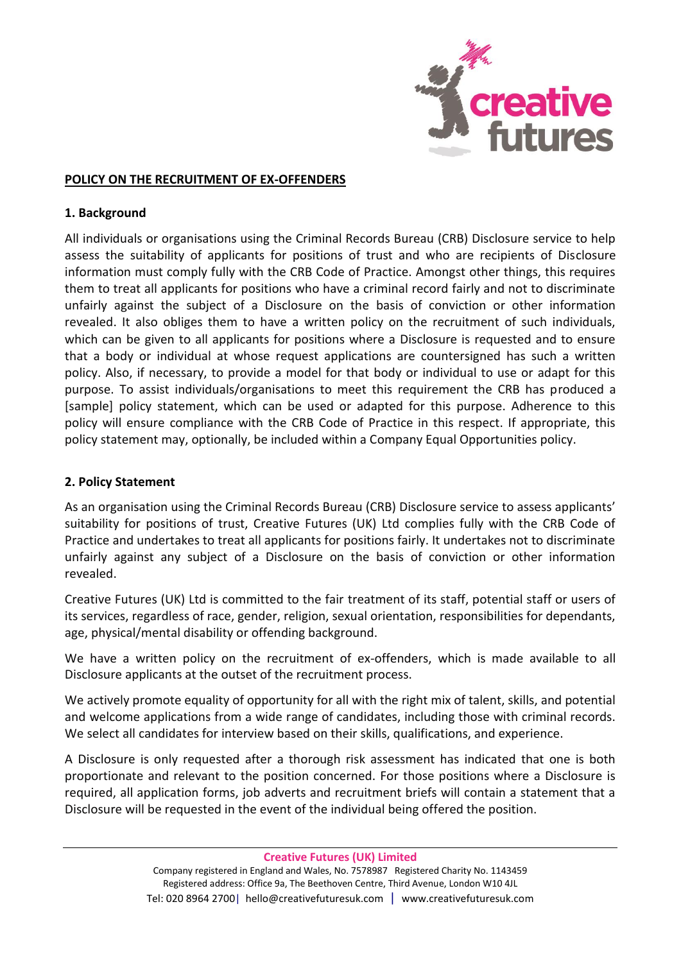

## **POLICY ON THE RECRUITMENT OF EX-OFFENDERS**

## **1. Background**

All individuals or organisations using the Criminal Records Bureau (CRB) Disclosure service to help assess the suitability of applicants for positions of trust and who are recipients of Disclosure information must comply fully with the CRB Code of Practice. Amongst other things, this requires them to treat all applicants for positions who have a criminal record fairly and not to discriminate unfairly against the subject of a Disclosure on the basis of conviction or other information revealed. It also obliges them to have a written policy on the recruitment of such individuals, which can be given to all applicants for positions where a Disclosure is requested and to ensure that a body or individual at whose request applications are countersigned has such a written policy. Also, if necessary, to provide a model for that body or individual to use or adapt for this purpose. To assist individuals/organisations to meet this requirement the CRB has produced a [sample] policy statement, which can be used or adapted for this purpose. Adherence to this policy will ensure compliance with the CRB Code of Practice in this respect. If appropriate, this policy statement may, optionally, be included within a Company Equal Opportunities policy.

## **2. Policy Statement**

As an organisation using the Criminal Records Bureau (CRB) Disclosure service to assess applicants' suitability for positions of trust, Creative Futures (UK) Ltd complies fully with the CRB Code of Practice and undertakes to treat all applicants for positions fairly. It undertakes not to discriminate unfairly against any subject of a Disclosure on the basis of conviction or other information revealed.

Creative Futures (UK) Ltd is committed to the fair treatment of its staff, potential staff or users of its services, regardless of race, gender, religion, sexual orientation, responsibilities for dependants, age, physical/mental disability or offending background.

We have a written policy on the recruitment of ex-offenders, which is made available to all Disclosure applicants at the outset of the recruitment process.

We actively promote equality of opportunity for all with the right mix of talent, skills, and potential and welcome applications from a wide range of candidates, including those with criminal records. We select all candidates for interview based on their skills, qualifications, and experience.

A Disclosure is only requested after a thorough risk assessment has indicated that one is both proportionate and relevant to the position concerned. For those positions where a Disclosure is required, all application forms, job adverts and recruitment briefs will contain a statement that a Disclosure will be requested in the event of the individual being offered the position.